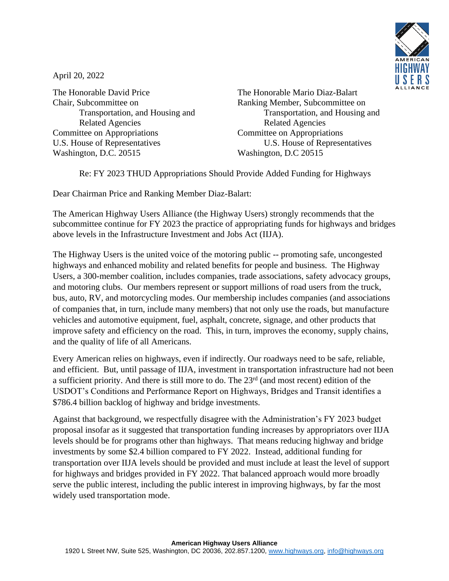

April 20, 2022

The Honorable David Price The Honorable Mario Diaz-Balart Chair, Subcommittee on Ranking Member, Subcommittee on Related Agencies Related Agencies Committee on Appropriations Committee on Appropriations U.S. House of Representatives U.S. House of Representatives Washington, D.C. 20515 Washington, D.C 20515

Transportation, and Housing and Transportation, and Housing and

Re: FY 2023 THUD Appropriations Should Provide Added Funding for Highways

Dear Chairman Price and Ranking Member Diaz-Balart:

The American Highway Users Alliance (the Highway Users) strongly recommends that the subcommittee continue for FY 2023 the practice of appropriating funds for highways and bridges above levels in the Infrastructure Investment and Jobs Act (IIJA).

The Highway Users is the united voice of the motoring public -- promoting safe, uncongested highways and enhanced mobility and related benefits for people and business. The Highway Users, a 300-member coalition, includes companies, trade associations, safety advocacy groups, and motoring clubs. Our members represent or support millions of road users from the truck, bus, auto, RV, and motorcycling modes. Our membership includes companies (and associations of companies that, in turn, include many members) that not only use the roads, but manufacture vehicles and automotive equipment, fuel, asphalt, concrete, signage, and other products that improve safety and efficiency on the road. This, in turn, improves the economy, supply chains, and the quality of life of all Americans.

Every American relies on highways, even if indirectly. Our roadways need to be safe, reliable, and efficient. But, until passage of IIJA, investment in transportation infrastructure had not been a sufficient priority. And there is still more to do. The 23<sup>rd</sup> (and most recent) edition of the USDOT's Conditions and Performance Report on Highways, Bridges and Transit identifies a \$786.4 billion backlog of highway and bridge investments.

Against that background, we respectfully disagree with the Administration's FY 2023 budget proposal insofar as it suggested that transportation funding increases by appropriators over IIJA levels should be for programs other than highways. That means reducing highway and bridge investments by some \$2.4 billion compared to FY 2022. Instead, additional funding for transportation over IIJA levels should be provided and must include at least the level of support for highways and bridges provided in FY 2022. That balanced approach would more broadly serve the public interest, including the public interest in improving highways, by far the most widely used transportation mode.